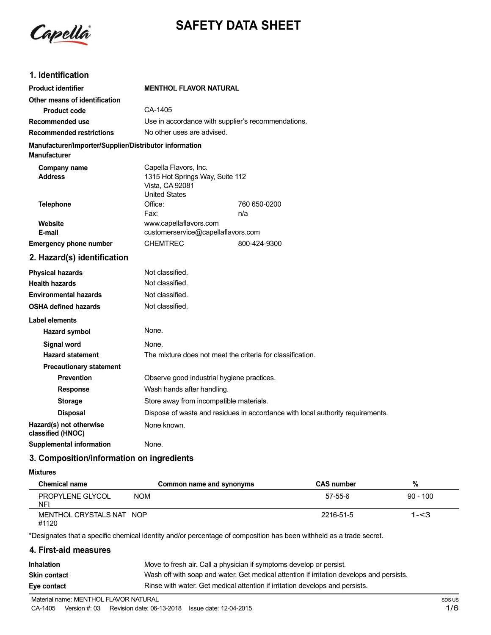

# **SAFETY DATA SHEET**

## **1. Identification**

| <b>Product identifier</b>                                                     | <b>MENTHOL FLAVOR NATURAL</b>                                                                       |              |  |
|-------------------------------------------------------------------------------|-----------------------------------------------------------------------------------------------------|--------------|--|
| Other means of identification                                                 |                                                                                                     |              |  |
| <b>Product code</b>                                                           | CA-1405                                                                                             |              |  |
| Recommended use                                                               | Use in accordance with supplier's recommendations.                                                  |              |  |
| <b>Recommended restrictions</b>                                               | No other uses are advised.                                                                          |              |  |
| Manufacturer/Importer/Supplier/Distributor information<br><b>Manufacturer</b> |                                                                                                     |              |  |
| Company name<br><b>Address</b>                                                | Capella Flavors, Inc.<br>1315 Hot Springs Way, Suite 112<br>Vista, CA 92081<br><b>United States</b> |              |  |
| <b>Telephone</b>                                                              | Office:                                                                                             | 760 650-0200 |  |
|                                                                               | Fax:                                                                                                | n/a          |  |
| Website<br>E-mail                                                             | www.capellaflavors.com<br>customerservice@capellaflavors.com                                        |              |  |
| <b>Emergency phone number</b>                                                 | <b>CHEMTREC</b>                                                                                     | 800-424-9300 |  |
| 2. Hazard(s) identification                                                   |                                                                                                     |              |  |
| <b>Physical hazards</b>                                                       | Not classified.                                                                                     |              |  |
| <b>Health hazards</b>                                                         | Not classified.                                                                                     |              |  |
| <b>Environmental hazards</b>                                                  | Not classified.                                                                                     |              |  |
| <b>OSHA defined hazards</b>                                                   | Not classified.                                                                                     |              |  |
| <b>Label elements</b>                                                         |                                                                                                     |              |  |
| Hazard symbol                                                                 | None.                                                                                               |              |  |
| Signal word                                                                   | None.                                                                                               |              |  |
| <b>Hazard statement</b>                                                       | The mixture does not meet the criteria for classification.                                          |              |  |
| <b>Precautionary statement</b>                                                |                                                                                                     |              |  |
| <b>Prevention</b>                                                             | Observe good industrial hygiene practices.                                                          |              |  |
| <b>Response</b>                                                               | Wash hands after handling.                                                                          |              |  |
| <b>Storage</b>                                                                | Store away from incompatible materials.                                                             |              |  |
| <b>Disposal</b>                                                               | Dispose of waste and residues in accordance with local authority requirements.                      |              |  |
| Hazard(s) not otherwise<br>classified (HNOC)                                  | None known.                                                                                         |              |  |
| <b>Supplemental information</b>                                               | None.                                                                                               |              |  |

## **3. Composition/information on ingredients**

#### **Mixtures**

| <b>Chemical name</b>              | Common name and synonyms | <b>CAS number</b> | %          |
|-----------------------------------|--------------------------|-------------------|------------|
| PROPYLENE GLYCOL<br><b>NFI</b>    | <b>NOM</b>               | 57-55-6           | $90 - 100$ |
| MENTHOL CRYSTALS NAT NOP<br>#1120 |                          | 2216-51-5         | 1-<3       |

\*Designates that a specific chemical identity and/or percentage of composition has been withheld as a trade secret.

## **4. First-aid measures**

| <b>Inhalation</b>   | Move to fresh air. Call a physician if symptoms develop or persist.                      |
|---------------------|------------------------------------------------------------------------------------------|
| <b>Skin contact</b> | Wash off with soap and water. Get medical attention if irritation develops and persists. |
| Eye contact         | Rinse with water. Get medical attention if irritation develops and persists.             |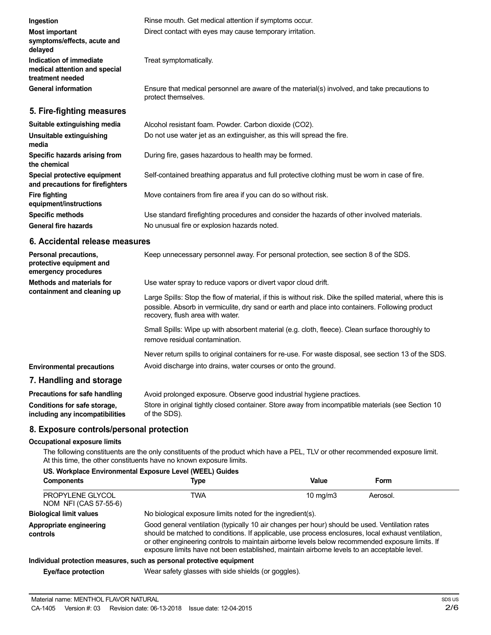| Ingestion                                                                    | Rinse mouth. Get medical attention if symptoms occur.                                                               |  |
|------------------------------------------------------------------------------|---------------------------------------------------------------------------------------------------------------------|--|
| <b>Most important</b><br>symptoms/effects, acute and<br>delayed              | Direct contact with eyes may cause temporary irritation.                                                            |  |
| Indication of immediate<br>medical attention and special<br>treatment needed | Treat symptomatically.                                                                                              |  |
| <b>General information</b>                                                   | Ensure that medical personnel are aware of the material(s) involved, and take precautions to<br>protect themselves. |  |
| 5. Fire-fighting measures                                                    |                                                                                                                     |  |
| Suitable extinguishing media                                                 | Alcohol resistant foam. Powder. Carbon dioxide (CO2).                                                               |  |
| Unsuitable extinguishing<br>media                                            | Do not use water jet as an extinguisher, as this will spread the fire.                                              |  |

During fire, gases hazardous to health may be formed.

Self-contained breathing apparatus and full protective clothing must be worn in case of fire.

Move containers from fire area if you can do so without risk.

Use standard firefighting procedures and consider the hazards of other involved materials. No unusual fire or explosion hazards noted.

## **6. Accidental release measures**

**Specific hazards arising from**

**Special protective equipment and precautions for firefighters**

**equipment/instructions Specific methods General fire hazards**

**the chemical**

**Fire fighting**

| Personal precautions,<br>protective equipment and<br>emergency procedures | Keep unnecessary personnel away. For personal protection, see section 8 of the SDS.                                                                                                                                                               |
|---------------------------------------------------------------------------|---------------------------------------------------------------------------------------------------------------------------------------------------------------------------------------------------------------------------------------------------|
| Methods and materials for                                                 | Use water spray to reduce vapors or divert vapor cloud drift.                                                                                                                                                                                     |
| containment and cleaning up                                               | Large Spills: Stop the flow of material, if this is without risk. Dike the spilled material, where this is<br>possible. Absorb in vermiculite, dry sand or earth and place into containers. Following product<br>recovery, flush area with water. |
|                                                                           | Small Spills: Wipe up with absorbent material (e.g. cloth, fleece). Clean surface thoroughly to<br>remove residual contamination.                                                                                                                 |
|                                                                           | Never return spills to original containers for re-use. For waste disposal, see section 13 of the SDS.                                                                                                                                             |
| <b>Environmental precautions</b>                                          | Avoid discharge into drains, water courses or onto the ground.                                                                                                                                                                                    |
| 7. Handling and storage                                                   |                                                                                                                                                                                                                                                   |
| Precautions for safe handling                                             | Avoid prolonged exposure. Observe good industrial hygiene practices.                                                                                                                                                                              |

| Conditions for safe storage,    | Store in original tightly closed container. Store away from incompatible materials (see Section 10 |
|---------------------------------|----------------------------------------------------------------------------------------------------|
| including any incompatibilities | of the SDS).                                                                                       |

## **8. Exposure controls/personal protection**

## **Occupational exposure limits**

The following constituents are the only constituents of the product which have a PEL, TLV or other recommended exposure limit. At this time, the other constituents have no known exposure limits.

## **US. Workplace Environmental Exposure Level (WEEL) Guides**

| <b>Components</b>                         | Type                                                                                                                                                                                                                                                                                                                                                                                                   | Value             | Form     |  |
|-------------------------------------------|--------------------------------------------------------------------------------------------------------------------------------------------------------------------------------------------------------------------------------------------------------------------------------------------------------------------------------------------------------------------------------------------------------|-------------------|----------|--|
| PROPYLENE GLYCOL<br>NOM NFI (CAS 57-55-6) | TWA                                                                                                                                                                                                                                                                                                                                                                                                    | $10 \text{ mg/m}$ | Aerosol. |  |
| <b>Biological limit values</b>            | No biological exposure limits noted for the ingredient(s).                                                                                                                                                                                                                                                                                                                                             |                   |          |  |
| Appropriate engineering<br>controls       | Good general ventilation (typically 10 air changes per hour) should be used. Ventilation rates<br>should be matched to conditions. If applicable, use process enclosures, local exhaust ventilation,<br>or other engineering controls to maintain airborne levels below recommended exposure limits. If<br>exposure limits have not been established, maintain airborne levels to an acceptable level. |                   |          |  |
|                                           | Individual protection measures, such as personal protective equipment                                                                                                                                                                                                                                                                                                                                  |                   |          |  |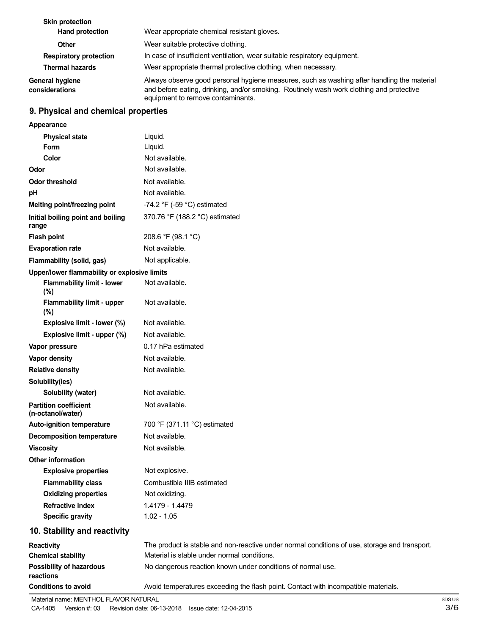| <b>Skin protection</b><br><b>Hand protection</b> | Wear appropriate chemical resistant gloves.                                                                                                                                                                                 |  |
|--------------------------------------------------|-----------------------------------------------------------------------------------------------------------------------------------------------------------------------------------------------------------------------------|--|
| Other                                            | Wear suitable protective clothing.                                                                                                                                                                                          |  |
| <b>Respiratory protection</b>                    | In case of insufficient ventilation, wear suitable respiratory equipment.                                                                                                                                                   |  |
| <b>Thermal hazards</b>                           | Wear appropriate thermal protective clothing, when necessary.                                                                                                                                                               |  |
| <b>General hygiene</b><br>considerations         | Always observe good personal hygiene measures, such as washing after handling the material<br>and before eating, drinking, and/or smoking. Routinely wash work clothing and protective<br>equipment to remove contaminants. |  |

# **9. Physical and chemical properties**

| Appearance                                        |                                                                                               |
|---------------------------------------------------|-----------------------------------------------------------------------------------------------|
| <b>Physical state</b>                             | Liquid.                                                                                       |
| <b>Form</b>                                       | Liquid.                                                                                       |
| Color                                             | Not available.                                                                                |
| Odor                                              | Not available.                                                                                |
| <b>Odor threshold</b>                             | Not available.                                                                                |
| рH                                                | Not available.                                                                                |
| Melting point/freezing point                      | -74.2 °F (-59 °C) estimated                                                                   |
| Initial boiling point and boiling<br>range        | 370.76 °F (188.2 °C) estimated                                                                |
| <b>Flash point</b>                                | 208.6 °F (98.1 °C)                                                                            |
| <b>Evaporation rate</b>                           | Not available.                                                                                |
| Flammability (solid, gas)                         | Not applicable.                                                                               |
| Upper/lower flammability or explosive limits      |                                                                                               |
| <b>Flammability limit - lower</b><br>(%)          | Not available.                                                                                |
| <b>Flammability limit - upper</b><br>(%)          | Not available.                                                                                |
| Explosive limit - lower (%)                       | Not available.                                                                                |
| Explosive limit - upper (%)                       | Not available.                                                                                |
| Vapor pressure                                    | 0.17 hPa estimated                                                                            |
| Vapor density                                     | Not available.                                                                                |
| <b>Relative density</b>                           | Not available.                                                                                |
| Solubility(ies)                                   |                                                                                               |
| Solubility (water)                                | Not available.                                                                                |
| <b>Partition coefficient</b><br>(n-octanol/water) | Not available.                                                                                |
| Auto-ignition temperature                         | 700 °F (371.11 °C) estimated                                                                  |
| <b>Decomposition temperature</b>                  | Not available.                                                                                |
| <b>Viscosity</b>                                  | Not available.                                                                                |
| <b>Other information</b>                          |                                                                                               |
| <b>Explosive properties</b>                       | Not explosive.                                                                                |
| <b>Flammability class</b>                         | Combustible IIIB estimated                                                                    |
| <b>Oxidizing properties</b>                       | Not oxidizing.                                                                                |
| <b>Refractive index</b>                           | 1.4179 - 1.4479                                                                               |
| <b>Specific gravity</b>                           | $1.02 - 1.05$                                                                                 |
| 10. Stability and reactivity                      |                                                                                               |
| <b>Reactivity</b>                                 | The product is stable and non-reactive under normal conditions of use, storage and transport. |
| <b>Chemical stability</b>                         | Material is stable under normal conditions.                                                   |
| <b>Possibility of hazardous</b><br>reactions      | No dangerous reaction known under conditions of normal use.                                   |
| <b>Conditions to avoid</b>                        | Avoid temperatures exceeding the flash point. Contact with incompatible materials.            |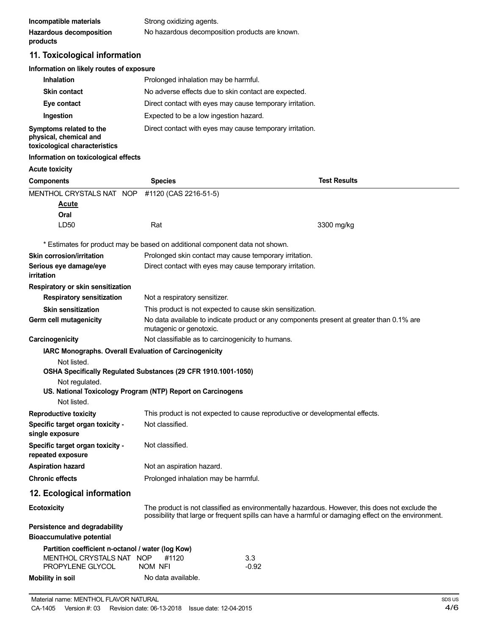| Incompatible materials         | Strong oxidizing agents.                       |
|--------------------------------|------------------------------------------------|
| <b>Hazardous decomposition</b> | No hazardous decomposition products are known. |
| products                       |                                                |

# **11. Toxicological information**

## **Information on likely routes of exposure**

| Inhalation                                                                         | Prolonged inhalation may be harmful.                     |
|------------------------------------------------------------------------------------|----------------------------------------------------------|
| <b>Skin contact</b>                                                                | No adverse effects due to skin contact are expected.     |
| Eye contact                                                                        | Direct contact with eyes may cause temporary irritation. |
| Ingestion                                                                          | Expected to be a low ingestion hazard.                   |
| Symptoms related to the<br>physical, chemical and<br>toxicological characteristics | Direct contact with eyes may cause temporary irritation. |

## **Information on toxicological effects**

| mioniauon on toxicological enects                                                                                                                                             |                                      |                                                                                                                                                                                                       |  |
|-------------------------------------------------------------------------------------------------------------------------------------------------------------------------------|--------------------------------------|-------------------------------------------------------------------------------------------------------------------------------------------------------------------------------------------------------|--|
| <b>Acute toxicity</b>                                                                                                                                                         |                                      |                                                                                                                                                                                                       |  |
| <b>Components</b>                                                                                                                                                             | <b>Species</b>                       | <b>Test Results</b>                                                                                                                                                                                   |  |
| MENTHOL CRYSTALS NAT NOP<br>Acute<br>Oral                                                                                                                                     | #1120 (CAS 2216-51-5)                |                                                                                                                                                                                                       |  |
| LD <sub>50</sub>                                                                                                                                                              | Rat                                  | 3300 mg/kg                                                                                                                                                                                            |  |
| * Estimates for product may be based on additional component data not shown.                                                                                                  |                                      |                                                                                                                                                                                                       |  |
| <b>Skin corrosion/irritation</b><br>Serious eye damage/eye<br>irritation                                                                                                      |                                      | Prolonged skin contact may cause temporary irritation.<br>Direct contact with eyes may cause temporary irritation.                                                                                    |  |
| Respiratory or skin sensitization                                                                                                                                             |                                      |                                                                                                                                                                                                       |  |
| <b>Respiratory sensitization</b>                                                                                                                                              | Not a respiratory sensitizer.        |                                                                                                                                                                                                       |  |
| <b>Skin sensitization</b>                                                                                                                                                     |                                      | This product is not expected to cause skin sensitization.                                                                                                                                             |  |
| Germ cell mutagenicity                                                                                                                                                        | mutagenic or genotoxic.              | No data available to indicate product or any components present at greater than 0.1% are                                                                                                              |  |
| Carcinogenicity                                                                                                                                                               |                                      | Not classifiable as to carcinogenicity to humans.                                                                                                                                                     |  |
| Not listed.<br>OSHA Specifically Regulated Substances (29 CFR 1910.1001-1050)<br>Not regulated.<br>US. National Toxicology Program (NTP) Report on Carcinogens<br>Not listed. |                                      |                                                                                                                                                                                                       |  |
| <b>Reproductive toxicity</b>                                                                                                                                                  |                                      | This product is not expected to cause reproductive or developmental effects.                                                                                                                          |  |
| Specific target organ toxicity -<br>single exposure                                                                                                                           | Not classified.                      |                                                                                                                                                                                                       |  |
| Specific target organ toxicity -<br>repeated exposure                                                                                                                         | Not classified.                      |                                                                                                                                                                                                       |  |
| <b>Aspiration hazard</b>                                                                                                                                                      | Not an aspiration hazard.            |                                                                                                                                                                                                       |  |
| <b>Chronic effects</b>                                                                                                                                                        | Prolonged inhalation may be harmful. |                                                                                                                                                                                                       |  |
| 12. Ecological information                                                                                                                                                    |                                      |                                                                                                                                                                                                       |  |
| <b>Ecotoxicity</b>                                                                                                                                                            |                                      | The product is not classified as environmentally hazardous. However, this does not exclude the<br>possibility that large or frequent spills can have a harmful or damaging effect on the environment. |  |
| Persistence and degradability<br><b>Bioaccumulative potential</b>                                                                                                             |                                      |                                                                                                                                                                                                       |  |
| Partition coefficient n-octanol / water (log Kow)<br>MENTHOL CRYSTALS NAT NOP<br>PROPYLENE GLYCOL                                                                             | #1120<br>NOM NFI                     | 3.3<br>$-0.92$                                                                                                                                                                                        |  |
| <b>Mobility in soil</b>                                                                                                                                                       | No data available.                   |                                                                                                                                                                                                       |  |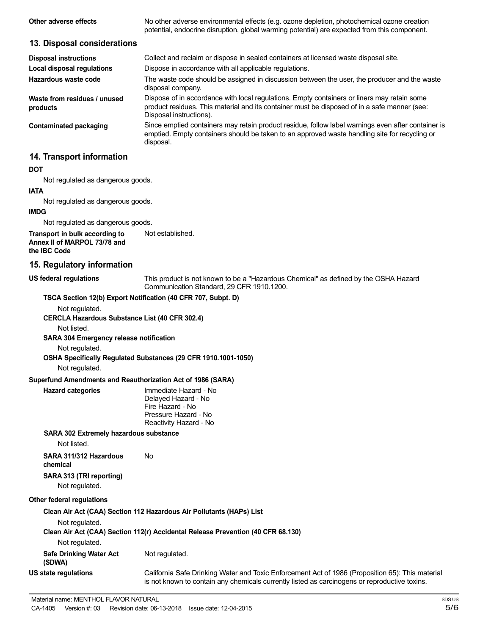| Other adverse effects        | No other adverse environmental effects (e.g. ozone depletion, photochemical ozone creation<br>potential, endocrine disruption, global warming potential) are expected from this component. |  |
|------------------------------|--------------------------------------------------------------------------------------------------------------------------------------------------------------------------------------------|--|
| 13. Disposal considerations  |                                                                                                                                                                                            |  |
| <b>Disposal instructions</b> | Collect and reclaim or dispose in sealed containers at licensed waste disposal site.                                                                                                       |  |
| Local disposal regulations   | Dispose in accordance with all applicable regulations.                                                                                                                                     |  |
|                              |                                                                                                                                                                                            |  |

**Hazardous waste code Waste from residues / unused products** The waste code should be assigned in discussion between the user, the producer and the waste disposal company. Dispose of in accordance with local regulations. Empty containers or liners may retain some product residues. This material and its container must be disposed of in a safe manner (see:

**Contaminated packaging**

Disposal instructions). Since emptied containers may retain product residue, follow label warnings even after container is emptied. Empty containers should be taken to an approved waste handling site for recycling or disposal.

## **14. Transport information**

#### **DOT**

Not regulated as dangerous goods.

#### **IATA**

Not regulated as dangerous goods.

## **IMDG**

Not regulated as dangerous goods.

**Transport in bulk according to Annex II of MARPOL 73/78 and the IBC Code** Not established.

## **15. Regulatory information**

**US federal regulations**

This product is not known to be a "Hazardous Chemical" as defined by the OSHA Hazard Communication Standard, 29 CFR 1910.1200.

#### **TSCA Section 12(b) Export Notification (40 CFR 707, Subpt. D)**

Not regulated.

**CERCLA Hazardous Substance List (40 CFR 302.4)**

Not listed.

#### **SARA 304 Emergency release notification**

Not regulated.

**OSHA Specifically Regulated Substances (29 CFR 1910.1001-1050)**

Not regulated.

**Hazard categories** 

#### **Superfund Amendments and Reauthorization Act of 1986 (SARA)**

| Immediate Hazard - No  |
|------------------------|
| Delayed Hazard - No    |
| Fire Hazard - No       |
| Pressure Hazard - No   |
| Reactivity Hazard - No |
|                        |

#### **SARA 302 Extremely hazardous substance**

Not listed.

| SARA 311/312 Hazardous   | No |
|--------------------------|----|
| chemical                 |    |
| SARA 313 (TRI reporting) |    |

Not regulated.

#### **Other federal regulations**

**Clean Air Act (CAA) Section 112 Hazardous Air Pollutants (HAPs) List**

Not regulated.

**Clean Air Act (CAA) Section 112(r) Accidental Release Prevention (40 CFR 68.130)**

Not regulated.

**Safe Drinking Water Act (SDWA)** Not regulated.

**US state regulations**

California Safe Drinking Water and Toxic Enforcement Act of 1986 (Proposition 65): This material is not known to contain any chemicals currently listed as carcinogens or reproductive toxins.